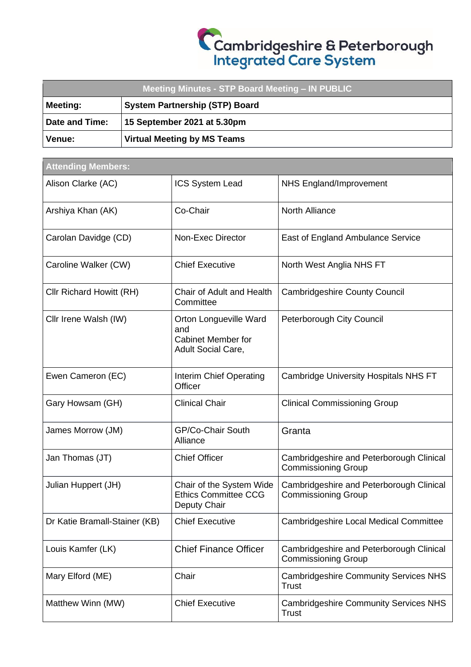| Meeting Minutes - STP Board Meeting - IN PUBLIC |                                       |  |  |  |
|-------------------------------------------------|---------------------------------------|--|--|--|
| <b>Meeting:</b>                                 | <b>System Partnership (STP) Board</b> |  |  |  |
| Date and Time:                                  | 15 September 2021 at 5.30pm           |  |  |  |
| Venue:                                          | <b>Virtual Meeting by MS Teams</b>    |  |  |  |

| <b>Attending Members:</b>     |                                                                                  |                                                                        |  |  |
|-------------------------------|----------------------------------------------------------------------------------|------------------------------------------------------------------------|--|--|
| Alison Clarke (AC)            | ICS System Lead                                                                  | NHS England/Improvement                                                |  |  |
| Arshiya Khan (AK)             | Co-Chair                                                                         | <b>North Alliance</b>                                                  |  |  |
| Carolan Davidge (CD)          | Non-Exec Director                                                                | East of England Ambulance Service                                      |  |  |
| Caroline Walker (CW)          | <b>Chief Executive</b>                                                           | North West Anglia NHS FT                                               |  |  |
| Cllr Richard Howitt (RH)      | Chair of Adult and Health<br>Committee                                           | <b>Cambridgeshire County Council</b>                                   |  |  |
| Cllr Irene Walsh (IW)         | Orton Longueville Ward<br>and<br><b>Cabinet Member for</b><br>Adult Social Care, | Peterborough City Council                                              |  |  |
| Ewen Cameron (EC)             | Interim Chief Operating<br>Officer                                               | <b>Cambridge University Hospitals NHS FT</b>                           |  |  |
| Gary Howsam (GH)              | <b>Clinical Chair</b>                                                            | <b>Clinical Commissioning Group</b>                                    |  |  |
| James Morrow (JM)             | GP/Co-Chair South<br>Alliance                                                    | Granta                                                                 |  |  |
| Jan Thomas (JT)               | <b>Chief Officer</b>                                                             | Cambridgeshire and Peterborough Clinical<br><b>Commissioning Group</b> |  |  |
| Julian Huppert (JH)           | Chair of the System Wide<br><b>Ethics Committee CCG</b><br>Deputy Chair          | Cambridgeshire and Peterborough Clinical<br><b>Commissioning Group</b> |  |  |
| Dr Katie Bramall-Stainer (KB) | <b>Chief Executive</b>                                                           | <b>Cambridgeshire Local Medical Committee</b>                          |  |  |
| Louis Kamfer (LK)             | <b>Chief Finance Officer</b>                                                     | Cambridgeshire and Peterborough Clinical<br><b>Commissioning Group</b> |  |  |
| Mary Elford (ME)              | Chair                                                                            | <b>Cambridgeshire Community Services NHS</b><br><b>Trust</b>           |  |  |
| Matthew Winn (MW)             | <b>Chief Executive</b>                                                           | <b>Cambridgeshire Community Services NHS</b><br><b>Trust</b>           |  |  |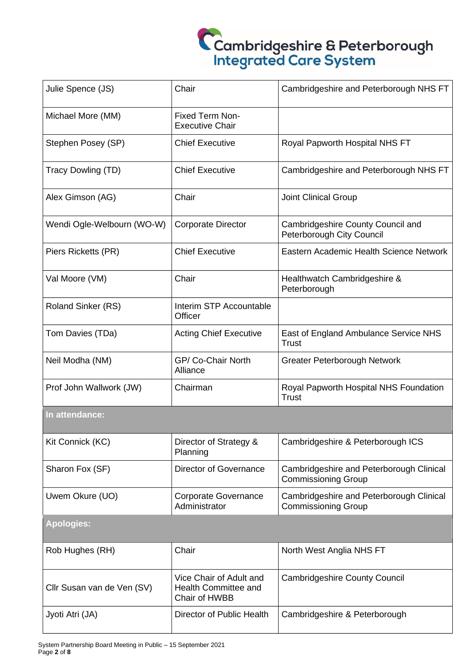| Julie Spence (JS)          | Chair                                                            | Cambridgeshire and Peterborough NHS FT                                 |  |  |  |
|----------------------------|------------------------------------------------------------------|------------------------------------------------------------------------|--|--|--|
| Michael More (MM)          | <b>Fixed Term Non-</b><br><b>Executive Chair</b>                 |                                                                        |  |  |  |
| Stephen Posey (SP)         | <b>Chief Executive</b>                                           | Royal Papworth Hospital NHS FT                                         |  |  |  |
| Tracy Dowling (TD)         | <b>Chief Executive</b>                                           | Cambridgeshire and Peterborough NHS FT                                 |  |  |  |
| Alex Gimson (AG)           | Chair                                                            | <b>Joint Clinical Group</b>                                            |  |  |  |
| Wendi Ogle-Welbourn (WO-W) | <b>Corporate Director</b>                                        | Cambridgeshire County Council and<br>Peterborough City Council         |  |  |  |
| Piers Ricketts (PR)        | <b>Chief Executive</b>                                           | Eastern Academic Health Science Network                                |  |  |  |
| Val Moore (VM)             | Chair                                                            | Healthwatch Cambridgeshire &<br>Peterborough                           |  |  |  |
| <b>Roland Sinker (RS)</b>  | Interim STP Accountable<br>Officer                               |                                                                        |  |  |  |
| Tom Davies (TDa)           | <b>Acting Chief Executive</b>                                    | East of England Ambulance Service NHS<br><b>Trust</b>                  |  |  |  |
| Neil Modha (NM)            | GP/ Co-Chair North<br>Alliance                                   | Greater Peterborough Network                                           |  |  |  |
| Prof John Wallwork (JW)    | Chairman                                                         | Royal Papworth Hospital NHS Foundation<br><b>Trust</b>                 |  |  |  |
| In attendance:             |                                                                  |                                                                        |  |  |  |
| Kit Connick (KC)           | Director of Strategy &<br>Planning                               | Cambridgeshire & Peterborough ICS                                      |  |  |  |
| Sharon Fox (SF)            | Director of Governance                                           | Cambridgeshire and Peterborough Clinical<br><b>Commissioning Group</b> |  |  |  |
| Uwem Okure (UO)            | <b>Corporate Governance</b><br>Administrator                     | Cambridgeshire and Peterborough Clinical<br><b>Commissioning Group</b> |  |  |  |
| <b>Apologies:</b>          |                                                                  |                                                                        |  |  |  |
| Rob Hughes (RH)            | Chair                                                            | North West Anglia NHS FT                                               |  |  |  |
| Cllr Susan van de Ven (SV) | Vice Chair of Adult and<br>Health Committee and<br>Chair of HWBB | <b>Cambridgeshire County Council</b>                                   |  |  |  |
| Jyoti Atri (JA)            | Director of Public Health                                        | Cambridgeshire & Peterborough                                          |  |  |  |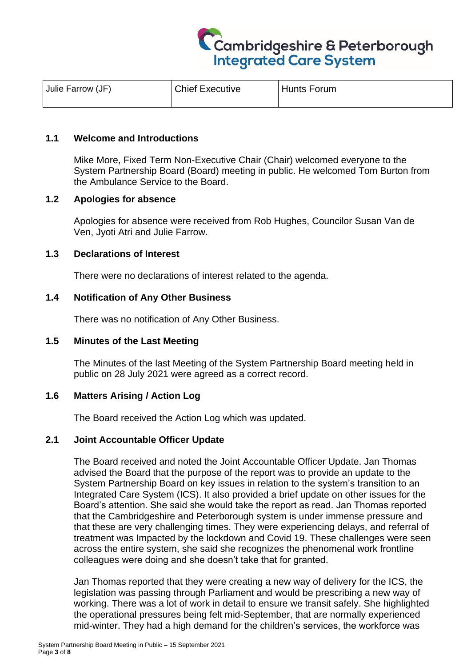

| Julie Farrow (JF) | <b>Chief Executive</b> | <b>Hunts Forum</b> |
|-------------------|------------------------|--------------------|
|                   |                        |                    |

### **1.1 Welcome and Introductions**

Mike More, Fixed Term Non-Executive Chair (Chair) welcomed everyone to the System Partnership Board (Board) meeting in public. He welcomed Tom Burton from the Ambulance Service to the Board.

#### **1.2 Apologies for absence**

Apologies for absence were received from Rob Hughes, Councilor Susan Van de Ven, Jyoti Atri and Julie Farrow.

#### **1.3 Declarations of Interest**

There were no declarations of interest related to the agenda.

#### **1.4 Notification of Any Other Business**

There was no notification of Any Other Business.

#### **1.5 Minutes of the Last Meeting**

The Minutes of the last Meeting of the System Partnership Board meeting held in public on 28 July 2021 were agreed as a correct record.

### **1.6 Matters Arising / Action Log**

The Board received the Action Log which was updated.

### **2.1 Joint Accountable Officer Update**

The Board received and noted the Joint Accountable Officer Update. Jan Thomas advised the Board that the purpose of the report was to provide an update to the System Partnership Board on key issues in relation to the system's transition to an Integrated Care System (ICS). It also provided a brief update on other issues for the Board's attention. She said she would take the report as read. Jan Thomas reported that the Cambridgeshire and Peterborough system is under immense pressure and that these are very challenging times. They were experiencing delays, and referral of treatment was Impacted by the lockdown and Covid 19. These challenges were seen across the entire system, she said she recognizes the phenomenal work frontline colleagues were doing and she doesn't take that for granted.

Jan Thomas reported that they were creating a new way of delivery for the ICS, the legislation was passing through Parliament and would be prescribing a new way of working. There was a lot of work in detail to ensure we transit safely. She highlighted the operational pressures being felt mid-September, that are normally experienced mid-winter. They had a high demand for the children's services, the workforce was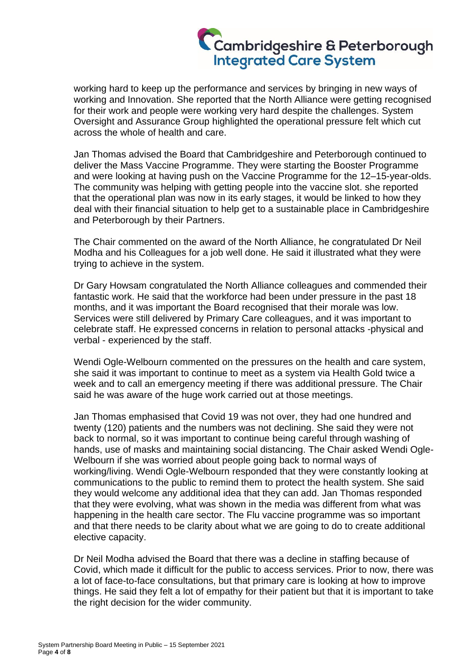working hard to keep up the performance and services by bringing in new ways of working and Innovation. She reported that the North Alliance were getting recognised for their work and people were working very hard despite the challenges. System Oversight and Assurance Group highlighted the operational pressure felt which cut across the whole of health and care.

Jan Thomas advised the Board that Cambridgeshire and Peterborough continued to deliver the Mass Vaccine Programme. They were starting the Booster Programme and were looking at having push on the Vaccine Programme for the 12–15-year-olds. The community was helping with getting people into the vaccine slot. she reported that the operational plan was now in its early stages, it would be linked to how they deal with their financial situation to help get to a sustainable place in Cambridgeshire and Peterborough by their Partners.

The Chair commented on the award of the North Alliance, he congratulated Dr Neil Modha and his Colleagues for a job well done. He said it illustrated what they were trying to achieve in the system.

Dr Gary Howsam congratulated the North Alliance colleagues and commended their fantastic work. He said that the workforce had been under pressure in the past 18 months, and it was important the Board recognised that their morale was low. Services were still delivered by Primary Care colleagues, and it was important to celebrate staff. He expressed concerns in relation to personal attacks -physical and verbal - experienced by the staff.

Wendi Ogle-Welbourn commented on the pressures on the health and care system, she said it was important to continue to meet as a system via Health Gold twice a week and to call an emergency meeting if there was additional pressure. The Chair said he was aware of the huge work carried out at those meetings.

Jan Thomas emphasised that Covid 19 was not over, they had one hundred and twenty (120) patients and the numbers was not declining. She said they were not back to normal, so it was important to continue being careful through washing of hands, use of masks and maintaining social distancing. The Chair asked Wendi Ogle-Welbourn if she was worried about people going back to normal ways of working/living. Wendi Ogle-Welbourn responded that they were constantly looking at communications to the public to remind them to protect the health system. She said they would welcome any additional idea that they can add. Jan Thomas responded that they were evolving, what was shown in the media was different from what was happening in the health care sector. The Flu vaccine programme was so important and that there needs to be clarity about what we are going to do to create additional elective capacity.

Dr Neil Modha advised the Board that there was a decline in staffing because of Covid, which made it difficult for the public to access services. Prior to now, there was a lot of face-to-face consultations, but that primary care is looking at how to improve things. He said they felt a lot of empathy for their patient but that it is important to take the right decision for the wider community.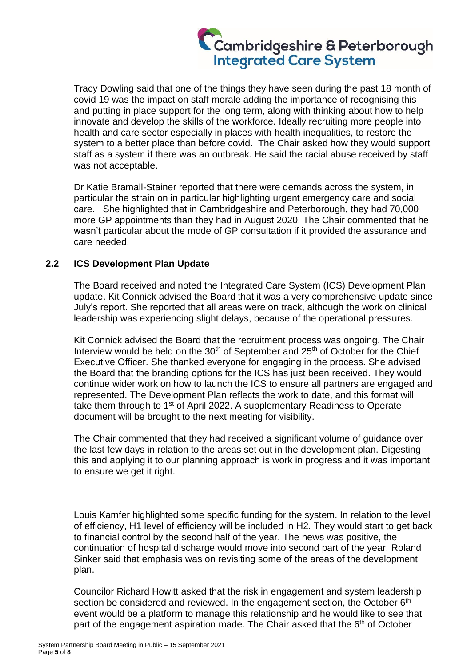Tracy Dowling said that one of the things they have seen during the past 18 month of covid 19 was the impact on staff morale adding the importance of recognising this and putting in place support for the long term, along with thinking about how to help innovate and develop the skills of the workforce. Ideally recruiting more people into health and care sector especially in places with health inequalities, to restore the system to a better place than before covid. The Chair asked how they would support staff as a system if there was an outbreak. He said the racial abuse received by staff was not acceptable.

Dr Katie Bramall-Stainer reported that there were demands across the system, in particular the strain on in particular highlighting urgent emergency care and social care. She highlighted that in Cambridgeshire and Peterborough, they had 70,000 more GP appointments than they had in August 2020. The Chair commented that he wasn't particular about the mode of GP consultation if it provided the assurance and care needed.

### **2.2 ICS Development Plan Update**

The Board received and noted the Integrated Care System (ICS) Development Plan update. Kit Connick advised the Board that it was a very comprehensive update since July's report. She reported that all areas were on track, although the work on clinical leadership was experiencing slight delays, because of the operational pressures.

Kit Connick advised the Board that the recruitment process was ongoing. The Chair Interview would be held on the  $30<sup>th</sup>$  of September and  $25<sup>th</sup>$  of October for the Chief Executive Officer. She thanked everyone for engaging in the process. She advised the Board that the branding options for the ICS has just been received. They would continue wider work on how to launch the ICS to ensure all partners are engaged and represented. The Development Plan reflects the work to date, and this format will take them through to 1<sup>st</sup> of April 2022. A supplementary Readiness to Operate document will be brought to the next meeting for visibility.

The Chair commented that they had received a significant volume of guidance over the last few days in relation to the areas set out in the development plan. Digesting this and applying it to our planning approach is work in progress and it was important to ensure we get it right.

Louis Kamfer highlighted some specific funding for the system. In relation to the level of efficiency, H1 level of efficiency will be included in H2. They would start to get back to financial control by the second half of the year. The news was positive, the continuation of hospital discharge would move into second part of the year. Roland Sinker said that emphasis was on revisiting some of the areas of the development plan.

Councilor Richard Howitt asked that the risk in engagement and system leadership section be considered and reviewed. In the engagement section, the October 6<sup>th</sup> event would be a platform to manage this relationship and he would like to see that part of the engagement aspiration made. The Chair asked that the  $6<sup>th</sup>$  of October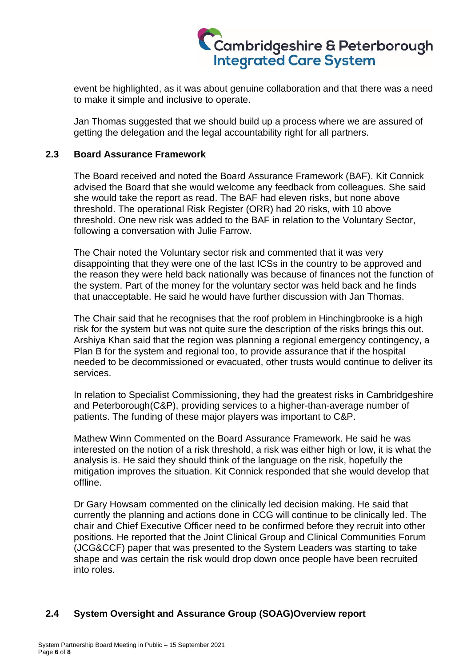

event be highlighted, as it was about genuine collaboration and that there was a need to make it simple and inclusive to operate.

Jan Thomas suggested that we should build up a process where we are assured of getting the delegation and the legal accountability right for all partners.

### **2.3 Board Assurance Framework**

The Board received and noted the Board Assurance Framework (BAF). Kit Connick advised the Board that she would welcome any feedback from colleagues. She said she would take the report as read. The BAF had eleven risks, but none above threshold. The operational Risk Register (ORR) had 20 risks, with 10 above threshold. One new risk was added to the BAF in relation to the Voluntary Sector, following a conversation with Julie Farrow.

The Chair noted the Voluntary sector risk and commented that it was very disappointing that they were one of the last ICSs in the country to be approved and the reason they were held back nationally was because of finances not the function of the system. Part of the money for the voluntary sector was held back and he finds that unacceptable. He said he would have further discussion with Jan Thomas.

The Chair said that he recognises that the roof problem in Hinchingbrooke is a high risk for the system but was not quite sure the description of the risks brings this out. Arshiya Khan said that the region was planning a regional emergency contingency, a Plan B for the system and regional too, to provide assurance that if the hospital needed to be decommissioned or evacuated, other trusts would continue to deliver its services.

In relation to Specialist Commissioning, they had the greatest risks in Cambridgeshire and Peterborough(C&P), providing services to a higher-than-average number of patients. The funding of these major players was important to C&P.

Mathew Winn Commented on the Board Assurance Framework. He said he was interested on the notion of a risk threshold, a risk was either high or low, it is what the analysis is. He said they should think of the language on the risk, hopefully the mitigation improves the situation. Kit Connick responded that she would develop that offline.

Dr Gary Howsam commented on the clinically led decision making. He said that currently the planning and actions done in CCG will continue to be clinically led. The chair and Chief Executive Officer need to be confirmed before they recruit into other positions. He reported that the Joint Clinical Group and Clinical Communities Forum (JCG&CCF) paper that was presented to the System Leaders was starting to take shape and was certain the risk would drop down once people have been recruited into roles.

### **2.4 System Oversight and Assurance Group (SOAG)Overview report**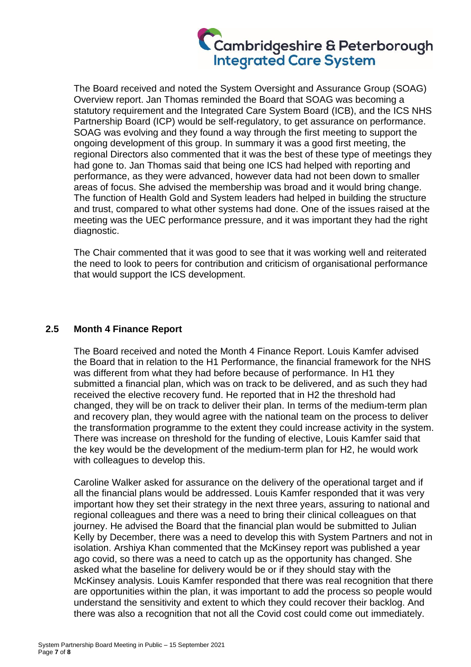The Board received and noted the System Oversight and Assurance Group (SOAG) Overview report. Jan Thomas reminded the Board that SOAG was becoming a statutory requirement and the Integrated Care System Board (ICB), and the ICS NHS Partnership Board (ICP) would be self-regulatory, to get assurance on performance. SOAG was evolving and they found a way through the first meeting to support the ongoing development of this group. In summary it was a good first meeting, the regional Directors also commented that it was the best of these type of meetings they had gone to. Jan Thomas said that being one ICS had helped with reporting and performance, as they were advanced, however data had not been down to smaller areas of focus. She advised the membership was broad and it would bring change. The function of Health Gold and System leaders had helped in building the structure and trust, compared to what other systems had done. One of the issues raised at the meeting was the UEC performance pressure, and it was important they had the right diagnostic.

The Chair commented that it was good to see that it was working well and reiterated the need to look to peers for contribution and criticism of organisational performance that would support the ICS development.

### **2.5 Month 4 Finance Report**

The Board received and noted the Month 4 Finance Report. Louis Kamfer advised the Board that in relation to the H1 Performance, the financial framework for the NHS was different from what they had before because of performance. In H1 they submitted a financial plan, which was on track to be delivered, and as such they had received the elective recovery fund. He reported that in H2 the threshold had changed, they will be on track to deliver their plan. In terms of the medium-term plan and recovery plan, they would agree with the national team on the process to deliver the transformation programme to the extent they could increase activity in the system. There was increase on threshold for the funding of elective, Louis Kamfer said that the key would be the development of the medium-term plan for H2, he would work with colleagues to develop this.

Caroline Walker asked for assurance on the delivery of the operational target and if all the financial plans would be addressed. Louis Kamfer responded that it was very important how they set their strategy in the next three years, assuring to national and regional colleagues and there was a need to bring their clinical colleagues on that journey. He advised the Board that the financial plan would be submitted to Julian Kelly by December, there was a need to develop this with System Partners and not in isolation. Arshiya Khan commented that the McKinsey report was published a year ago covid, so there was a need to catch up as the opportunity has changed. She asked what the baseline for delivery would be or if they should stay with the McKinsey analysis. Louis Kamfer responded that there was real recognition that there are opportunities within the plan, it was important to add the process so people would understand the sensitivity and extent to which they could recover their backlog. And there was also a recognition that not all the Covid cost could come out immediately.